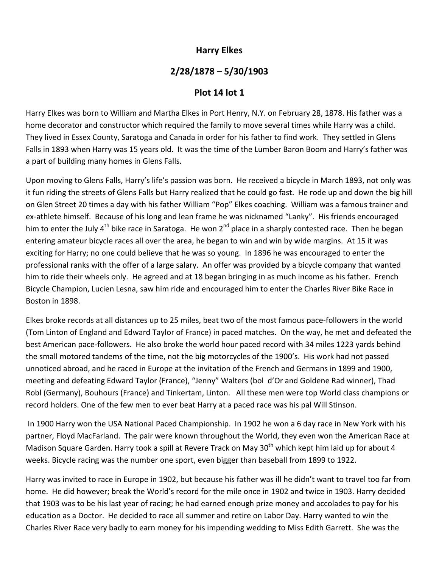## **Harry Elkes**

## **2/28/1878 – 5/30/1903**

## **Plot 14 lot 1**

Harry Elkes was born to William and Martha Elkes in Port Henry, N.Y. on February 28, 1878. His father was a home decorator and constructor which required the family to move several times while Harry was a child. They lived in Essex County, Saratoga and Canada in order for his father to find work. They settled in Glens Falls in 1893 when Harry was 15 years old. It was the time of the Lumber Baron Boom and Harry's father was a part of building many homes in Glens Falls.

Upon moving to Glens Falls, Harry's life's passion was born. He received a bicycle in March 1893, not only was it fun riding the streets of Glens Falls but Harry realized that he could go fast. He rode up and down the big hill on Glen Street 20 times a day with his father William "Pop" Elkes coaching. William was a famous trainer and ex-athlete himself. Because of his long and lean frame he was nicknamed "Lanky". His friends encouraged him to enter the July  $4^{th}$  bike race in Saratoga. He won  $2^{nd}$  place in a sharply contested race. Then he began entering amateur bicycle races all over the area, he began to win and win by wide margins. At 15 it was exciting for Harry; no one could believe that he was so young. In 1896 he was encouraged to enter the professional ranks with the offer of a large salary. An offer was provided by a bicycle company that wanted him to ride their wheels only. He agreed and at 18 began bringing in as much income as his father. French Bicycle Champion, Lucien Lesna, saw him ride and encouraged him to enter the Charles River Bike Race in Boston in 1898.

Elkes broke records at all distances up to 25 miles, beat two of the most famous pace-followers in the world (Tom Linton of England and Edward Taylor of France) in paced matches. On the way, he met and defeated the best American pace‐followers. He also broke the world hour paced record with 34 miles 1223 yards behind the small motored tandems of the time, not the big motorcycles of the 1900's. His work had not passed unnoticed abroad, and he raced in Europe at the invitation of the French and Germans in 1899 and 1900, meeting and defeating Edward Taylor (France), "Jenny" Walters (bol d'Or and Goldene Rad winner), Thad Robl (Germany), Bouhours (France) and Tinkertam, Linton. All these men were top World class champions or record holders. One of the few men to ever beat Harry at a paced race was his pal Will Stinson.

 In 1900 Harry won the USA National Paced Championship. In 1902 he won a 6 day race in New York with his partner, Floyd MacFarland. The pair were known throughout the World, they even won the American Race at Madison Square Garden. Harry took a spill at Revere Track on May 30<sup>th</sup> which kept him laid up for about 4 weeks. Bicycle racing was the number one sport, even bigger than baseball from 1899 to 1922.

Harry was invited to race in Europe in 1902, but because his father was ill he didn't want to travel too far from home. He did however; break the World's record for the mile once in 1902 and twice in 1903. Harry decided that 1903 was to be his last year of racing; he had earned enough prize money and accolades to pay for his education as a Doctor. He decided to race all summer and retire on Labor Day. Harry wanted to win the Charles River Race very badly to earn money for his impending wedding to Miss Edith Garrett. She was the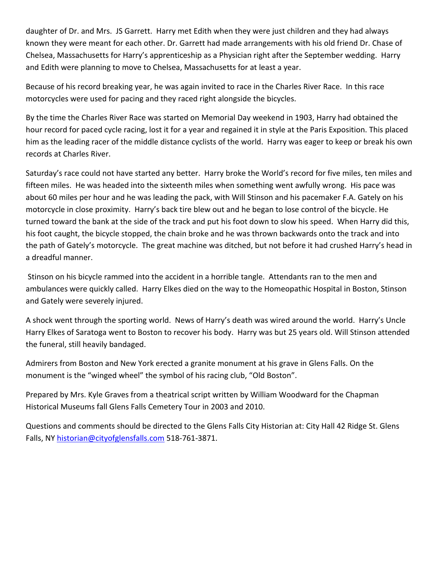daughter of Dr. and Mrs. JS Garrett. Harry met Edith when they were just children and they had always known they were meant for each other. Dr. Garrett had made arrangements with his old friend Dr. Chase of Chelsea, Massachusetts for Harry's apprenticeship as a Physician right after the September wedding. Harry and Edith were planning to move to Chelsea, Massachusetts for at least a year.

Because of his record breaking year, he was again invited to race in the Charles River Race. In this race motorcycles were used for pacing and they raced right alongside the bicycles.

By the time the Charles River Race was started on Memorial Day weekend in 1903, Harry had obtained the hour record for paced cycle racing, lost it for a year and regained it in style at the Paris Exposition. This placed him as the leading racer of the middle distance cyclists of the world. Harry was eager to keep or break his own records at Charles River.

Saturday's race could not have started any better. Harry broke the World's record for five miles, ten miles and fifteen miles. He was headed into the sixteenth miles when something went awfully wrong. His pace was about 60 miles per hour and he was leading the pack, with Will Stinson and his pacemaker F.A. Gately on his motorcycle in close proximity. Harry's back tire blew out and he began to lose control of the bicycle. He turned toward the bank at the side of the track and put his foot down to slow his speed. When Harry did this, his foot caught, the bicycle stopped, the chain broke and he was thrown backwards onto the track and into the path of Gately's motorcycle. The great machine was ditched, but not before it had crushed Harry's head in a dreadful manner.

 Stinson on his bicycle rammed into the accident in a horrible tangle. Attendants ran to the men and ambulances were quickly called. Harry Elkes died on the way to the Homeopathic Hospital in Boston, Stinson and Gately were severely injured.

A shock went through the sporting world. News of Harry's death was wired around the world. Harry's Uncle Harry Elkes of Saratoga went to Boston to recover his body. Harry was but 25 years old. Will Stinson attended the funeral, still heavily bandaged.

Admirers from Boston and New York erected a granite monument at his grave in Glens Falls. On the monument is the "winged wheel" the symbol of his racing club, "Old Boston".

Prepared by Mrs. Kyle Graves from a theatrical script written by William Woodward for the Chapman Historical Museums fall Glens Falls Cemetery Tour in 2003 and 2010.

Questions and comments should be directed to the Glens Falls City Historian at: City Hall 42 Ridge St. Glens Falls, NY historian@cityofglensfalls.com 518‐761‐3871.